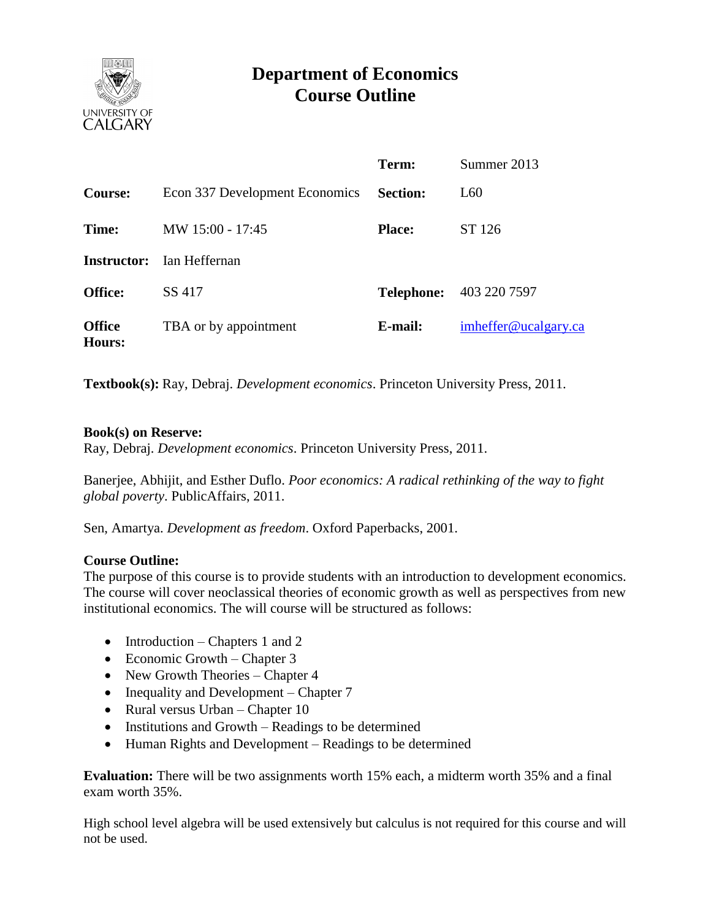

# **Department of Economics Course Outline**

|                                |                                  | Term:                   | Summer 2013          |
|--------------------------------|----------------------------------|-------------------------|----------------------|
| <b>Course:</b>                 | Econ 337 Development Economics   | <b>Section:</b>         | L60                  |
| Time:                          | MW 15:00 - 17:45                 | ST 126<br><b>Place:</b> |                      |
|                                | <b>Instructor:</b> Ian Heffernan |                         |                      |
| <b>Office:</b>                 | SS 417                           | <b>Telephone:</b>       | 403 220 7597         |
| <b>Office</b><br><b>Hours:</b> | TBA or by appointment            | E-mail:                 | imheffer@ucalgary.ca |

**Textbook(s):** Ray, Debraj. *Development economics*. Princeton University Press, 2011.

#### **Book(s) on Reserve:**

Ray, Debraj. *Development economics*. Princeton University Press, 2011.

Banerjee, Abhijit, and Esther Duflo. *Poor economics: A radical rethinking of the way to fight global poverty*. PublicAffairs, 2011.

Sen, Amartya. *Development as freedom*. Oxford Paperbacks, 2001.

#### **Course Outline:**

The purpose of this course is to provide students with an introduction to development economics. The course will cover neoclassical theories of economic growth as well as perspectives from new institutional economics. The will course will be structured as follows:

- Introduction Chapters 1 and 2
- Economic Growth Chapter  $3$
- New Growth Theories Chapter 4
- Inequality and Development Chapter 7
- Rural versus Urban Chapter 10
- Institutions and Growth Readings to be determined
- Human Rights and Development Readings to be determined

**Evaluation:** There will be two assignments worth 15% each, a midterm worth 35% and a final exam worth 35%.

High school level algebra will be used extensively but calculus is not required for this course and will not be used.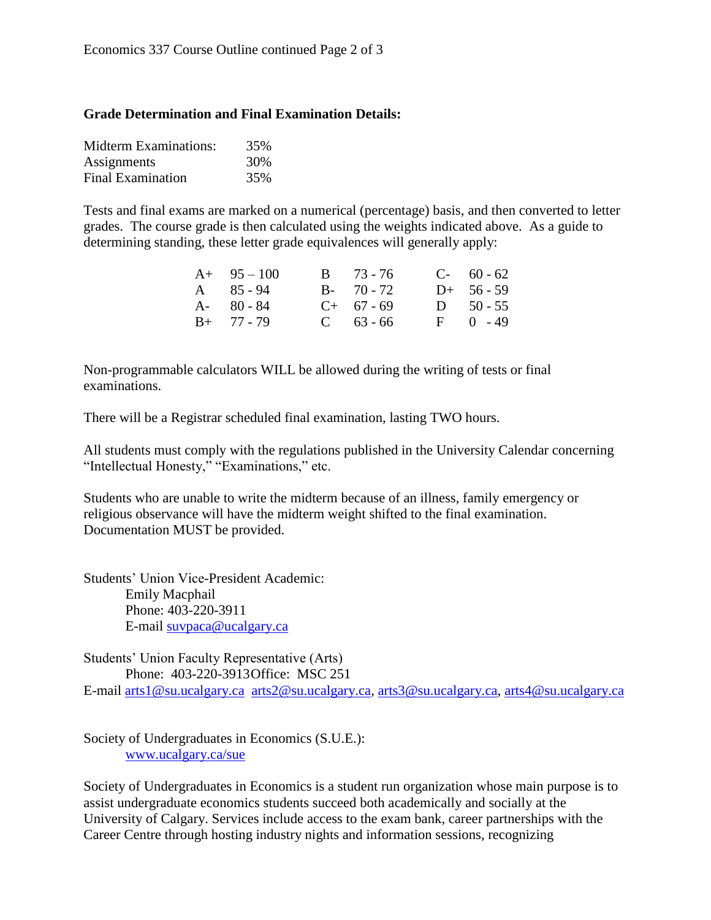### **Grade Determination and Final Examination Details:**

| <b>Midterm Examinations:</b> | 35% |
|------------------------------|-----|
| Assignments                  | 30% |
| <b>Final Examination</b>     | 35% |

Tests and final exams are marked on a numerical (percentage) basis, and then converted to letter grades. The course grade is then calculated using the weights indicated above. As a guide to determining standing, these letter grade equivalences will generally apply:

| $A+ 95-100$   | $B = 73 - 76$ | $C-60-62$    |
|---------------|---------------|--------------|
| $A = 85 - 94$ | $B - 70 - 72$ | $D+ 56 - 59$ |
| $A - 80 - 84$ | $C+ 67-69$    | D $50 - 55$  |
| $B+ 77 - 79$  | $C = 63 - 66$ | $F = 0 - 49$ |

Non-programmable calculators WILL be allowed during the writing of tests or final examinations.

There will be a Registrar scheduled final examination, lasting TWO hours.

All students must comply with the regulations published in the University Calendar concerning "Intellectual Honesty," "Examinations," etc.

Students who are unable to write the midterm because of an illness, family emergency or religious observance will have the midterm weight shifted to the final examination. Documentation MUST be provided.

Students' Union Vice-President Academic: Emily Macphail Phone: 403-220-3911 E-mail [suvpaca@ucalgary.ca](mailto:subpaca@ucalgary.ca)

Students' Union Faculty Representative (Arts) Phone: 403-220-3913Office: MSC 251 E-mail [arts1@su.ucalgary.ca](mailto:arts1@su.ucalgary.ca) [arts2@su.ucalgary.ca,](mailto:arts2@su.ucalgary.ca) [arts3@su.ucalgary.ca,](mailto:arts3@su.ucalgary.ca) [arts4@su.ucalgary.ca](mailto:arts4@su.ucalgary.ca)

Society of Undergraduates in Economics (S.U.E.): [www.ucalgary.ca/sue](http://www.fp.ucalgary.ca/econ)

Society of Undergraduates in Economics is a student run organization whose main purpose is to assist undergraduate economics students succeed both academically and socially at the University of Calgary. Services include access to the exam bank, career partnerships with the Career Centre through hosting industry nights and information sessions, recognizing